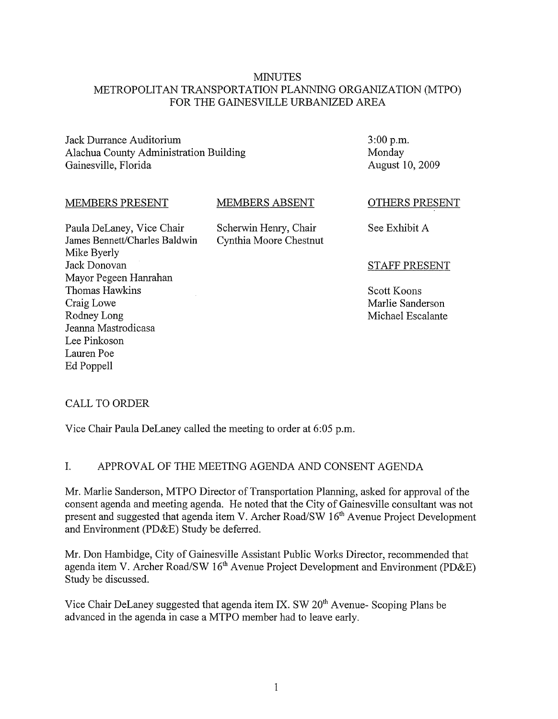#### MINUTES METROPOLITAN TRANSPORTATION PLANNING ORGANIZATION (MTPO) FOR THE GAINESVILLE URBANIZED AREA

Jack Durrance Auditorium Alachua County Administration Building Gainesville, Florida

3:00 p.m. Monday August 10, 2009

#### MEMBERS PRESENT

#### MEMBERS ABSENT

Scherwin Henry, Chair Cynthia Moore Chestnut

Paula DeLaney, Vice Chair James Bennett/Charles Baldwin Mike Byerly Jack Donovan Mayor Pegeen Hanrahan Thomas Hawkins Craig Lowe Rodney Long Jeanna Mastrodicasa Lee Pinkoson Lauren Poe Ed Poppell

OTHERS PRESENT

See Exhibit A

#### STAFF PRESENT

Scott Koons Marlie Sanderson Michael Escalante

# CALL TO ORDER

Vice Chair Paula DeLaney called the meeting to order at 6:05 p.m.

# 1. APPROV AL OF THE MEETING AGENDA AND CONSENT AGENDA

Mr. Marlie Sanderson, MTPO Director of Transportation Planning, asked for approval of the consent agenda and meeting agenda. He noted that the City of Gainesville consultant was not present and suggested that agenda item V. Archer Road/SW 16<sup>th</sup> Avenue Project Development and Environment (PD&E) Study be deferred.

Mr. Don Hambidge, City of Gainesville Assistant Public Works Director, recommended that agenda item V. Archer Road/SW 16<sup>th</sup> Avenue Project Development and Environment (PD&E) Study be discussed.

Vice Chair DeLaney suggested that agenda item IX. SW  $20<sup>th</sup>$  Avenue- Scoping Plans be advanced in the agenda in case a MTPO member had to leave early.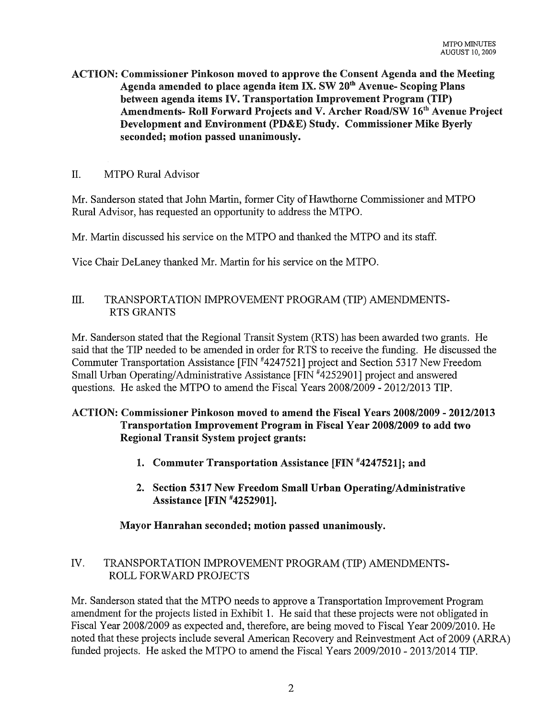ACTION: Commissioner Pinkoson moved to approve the Consent Agenda and the Meeting Agenda amended to place agenda item IX. SW 20<sup>th</sup> Avenue- Scoping Plans between agenda items IV. Transportation Improvement Program (TIP) Amendments- Roll Forward Projects and V. Archer Road/SW 16<sup>th</sup> Avenue Project Development and Environment (PD&E) Study. Commissioner Mike Byerly seconded; motion passed unanimously.

## II. MTPO Rural Advisor

Mr. Sanderson stated that John Martin, fonner City of Hawthome Commissioner and MTPO Rural Advisor, has requested an opportunity to address the MTPO.

Mr. Martin discussed his service on the MTPO and thanked the MTPO and its staff.

Vice Chair DeLaney thanked Mr. Martin for his service on the MTPO.

## III. TRANSPORTATION IMPROVEMENT PROGRAM (TIP) AMENDMENTS-RTS GRANTS

Mr. Sanderson stated that the Regional Transit System (RTS) has been awarded two grants. He said that the TIP needed to be amended in order for RTS to receive the funding. He discussed the Commuter Transportation Assistance [FIN #4247521] project and Section 5317 New Freedom Small Urban Operating/Administrative Assistance [FIN #4252901] project and answered questions. He asked the MTPO to amend the Fiscal Years 2008/2009 - 2012/2013 TIP.

# ACTION: Commissioner Pinkoson moved to amend the Fiscal Years 2008/2009 - 2012/2013 Transportation Improvement Program in Fiscal Year 2008/2009 to add two Regional Transit System project grants:

- 1. Commuter Transportation Assistance [FIN #4247521]; and
- 2. Section 5317 New Freedom Small Urban Operating/Administrative Assistance [FIN #4252901].

#### Mayor Hanrahan seconded; motion passed unanimously.

## IV. TRANSPORTATION IMPROVEMENT PROGRAM (TIP) AMENDMENTS-ROLL FORWARD PROJECTS

Mr. Sanderson stated that the MTPO needs to approve a Transportation Improvement Program amendment for the projects listed in Exhibit 1. He said that these projects were not obligated in Fiscal Year 2008/2009 as expected and, therefore, are being moved to Fiscal Year 2009/2010. He noted that these projects include several American Recovery and Reinvestment Act of 2009 (ARRA) funded projects. He asked the MTPO to amend the Fiscal Years 2009/2010 - 2013/2014 TIP.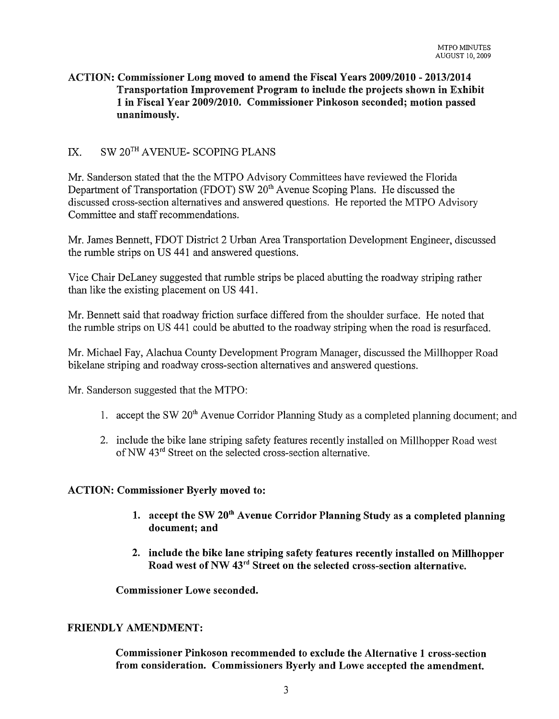# ACTION: Commissioner Long moved to amend the Fiscal Years 2009/2010 - 2013/2014 Transportation Improvement Program to include the projects shown in Exhibit 1 in Fiscal Year 2009/2010. Commissioner Pinkoson seconded; motion passed unanimously.

# IX. SW 20<sup>TH</sup> AVENUE- SCOPING PLANS

Mr. Sanderson stated that the the MTPO Advisory Committees have reviewed the Florida Department of Transportation (FDOT) SW 20<sup>th</sup> Avenue Scoping Plans. He discussed the discussed cross-section alternatives and answered questions. He reported the MTPO Advisory Committee and staff recommendations.

Mr. James Bennett, FDOT District 2 Urban Area Transportation Development Engineer, discussed the mmble strips on US 441 and answered questions.

Vice Chair DeLaney suggested that rumble strips be placed abutting the roadway striping rather than like the existing placement on US 441.

Mr. Bennett said that roadway friction surface differed from the shoulder surface. He noted that the rumble strips on US 441 could be abutted to the roadway striping when the road is resurfaced.

Mr. Michael Fay, Alachua County Development Program Manager, discussed the Millhopper Road bikelane striping and roadway cross-section alternatives and answered questions.

Mr. Sanderson suggested that the MTPO:

- 1. accept the SW 20<sup>th</sup> Avenue Corridor Planning Study as a completed planning document; and
- 2. include the bike lane striping safety features recently installed on Millhopper Road west ofNW 43rd Street on the selected cross-section alternative.

#### ACTION: Commissioner Byerly moved to:

- 1. accept the SW  $20<sup>th</sup>$  Avenue Corridor Planning Study as a completed planning document; and
- 2. include the bike lane striping safety features recently installed on Millhopper Road west of NW 43rd Street on the selected cross-section alternative.

Commissioner Lowe seconded.

#### FRIENDLY AMENDMENT:

Commissioner Pinkoson recommended to exclude the Alternative 1 cross-section from consideration. Commissioners Byerly and Lowe accepted the amendment.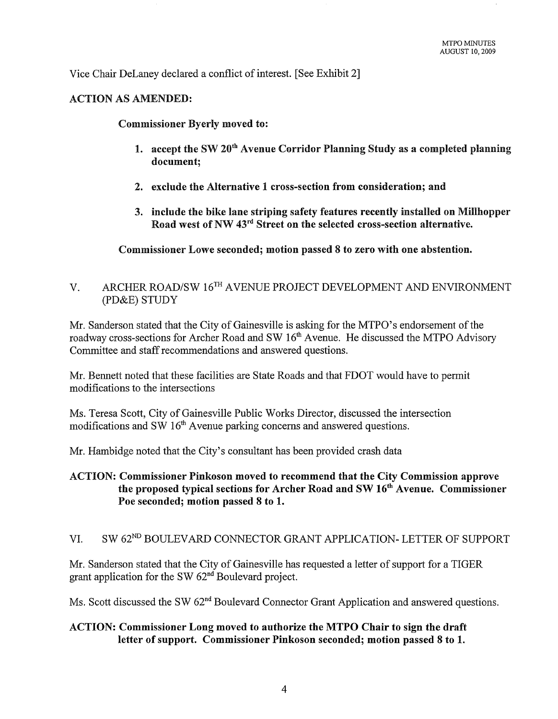Vice Chair DeLaney declared a conflict of interest. [See Exhibit 2]

#### ACTION AS AMENDED:

Commissioner Byerly moved to:

- 1. accept the SW 20<sup>th</sup> Avenue Corridor Planning Study as a completed planning document;
- 2. exclude the Alternative 1 cross-section from consideration; and
- 3. include the bike lane striping safety features recently installed on Millhopper Road west of NW 43rd Street on the selected cross-section alternative.

Commissioner Lowe seconded; motion passed 8 to zero with one abstention.

# V. ARCHER ROAD/SW 16TH AVENUE PROJECT DEVELOPMENT AND ENVIRONMENT (PD&E) STUDY

Mr. Sanderson stated that the City of Gainesville is asking for the MTPO's endorsement of the roadway cross-sections for Archer Road and SW 16<sup>th</sup> Avenue. He discussed the MTPO Advisory Committee and staff recommendations and answered questions.

Mr. Bennett noted that these facilities are State Roads and that FDOT would have to permit modifications to the intersections

Ms. Teresa Scott, City of Gainesville Public Works Director, discussed the intersection modifications and SW  $16<sup>th</sup>$  Avenue parking concerns and answered questions.

Mr. Hambidge noted that the City's consultant has been provided crash data

## ACTION: Commissioner Pinkoson moved to recommend that the City Commission approve the proposed typical sections for Archer Road and SW 16th Avenue. Commissioner Poe seconded; motion passed 8 to 1.

# VI. SW 62<sup>ND</sup> BOULEVARD CONNECTOR GRANT APPLICATION- LETTER OF SUPPORT

Mr. Sanderson stated that the City of Gainesville has requested a letter of support for a TIGER grant application for the SW  $62<sup>nd</sup>$  Boulevard project.

Ms. Scott discussed the SW 62<sup>nd</sup> Boulevard Connector Grant Application and answered questions.

## ACTION: Commissioner Long moved to authorize the MTPO Chair to sign the draft letter of support. Commissioner Pinkoson seconded; motion passed 8 to 1.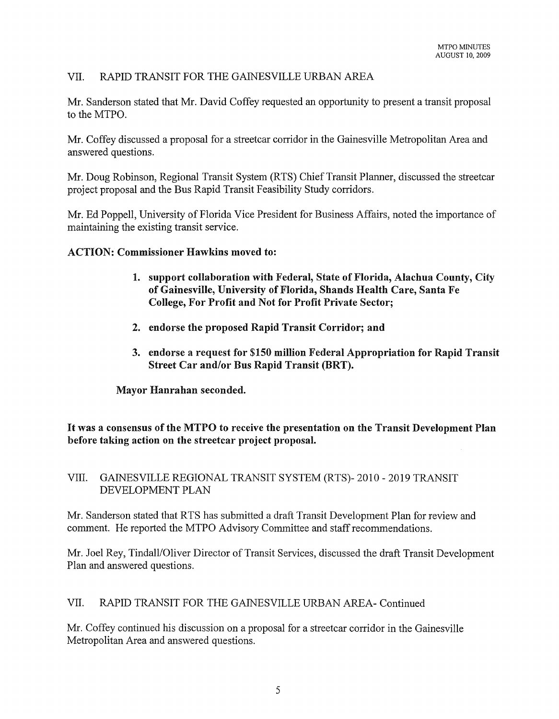# VII. RAPID TRANSIT FOR THE GAINESVILLE URBAN AREA

Mr. Sanderson stated that Mr. David Coffey requested an opportunity to present a transit proposal to the MTPO.

Mr. Coffey discussed a proposal for a streetcar corridor in the Gainesville Metropolitan Area and answered questions.

Mr. Doug Robinson, Regional Transit System (RTS) Chief Transit Planner, discussed the streetcar project proposal and the Bus Rapid Transit Feasibility Study corridors.

Mr. Ed Poppell, University of Florida Vice President for Business Affairs, noted the importance of maintaining the existing transit service.

ACTION: Commissioner Hawkins moved to:

- 1. support collaboration with Federal, State of Florida, Alachua County, City of Gainesville, University of Florida, Shands Health Care, Santa Fe College, For Profit and Not for Profit Private Sector;
- 2. endorse the proposed Rapid Transit Corridor; and
- 3. endorse a request for \$150 million Federal Appropriation for Rapid Transit Street Car and/or Bus Rapid Transit (BRT).

Mayor Hanrahan seconded.

It was a consensus of the MTPO to receive the presentation on the Transit Development Plan before taking action on the streetcar project proposal.

#### VIII. GAINESVILLE REGIONAL TRANSIT SYSTEM (RTS)- 2010 - 2019 TRANSIT DEVELOPMENT PLAN

Mr. Sanderson stated that RTS has submitted a draft Transit Development Plan for review and comment. He reported the MTPO Advisory Committee and staff recommendations.

Mr. Joel Rey, Tindall/Oliver Director of Transit Services, discussed the draft Transit Development Plan and answered questions.

VII. RAPID TRANSIT FOR THE GAINESVILLE URBAN AREA- Continued

Mr. Coffey continued his discussion on a proposal for a streetcar corridor in the Gainesville Metropolitan Area and answered questions.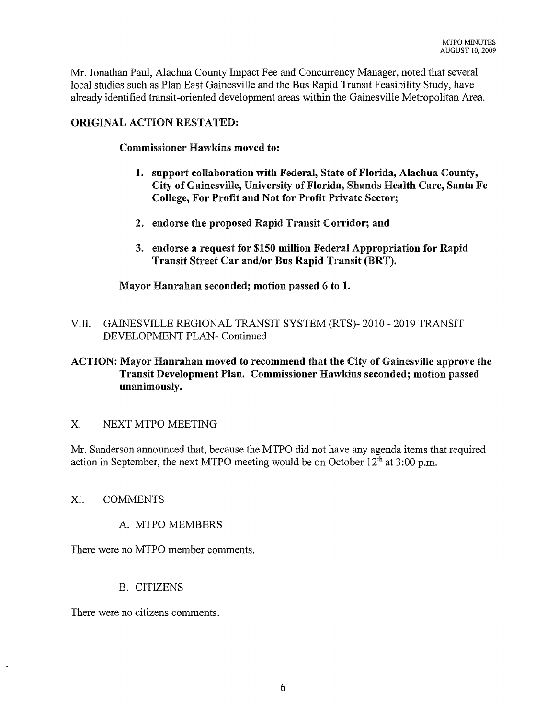Mr. Jonathan Paul, Alachua County Impact Fee and Concurrency Manager, noted that several local studies such as Plan East Gainesville and the Bus Rapid Transit Feasibility Study, have already identified transit-oriented development areas within the Gainesville Metropolitan Area.

#### ORIGINAL ACTION RESTATED:

Commissioner Hawkins moved to:

- 1. support collaboration with Federal, State of Florida, Alachua County, City of Gainesville, University of Florida, Shands Health Care, Santa Fe College, For Profit and Not for Profit Private Sector;
- 2. endorse the proposed Rapid Transit Corridor; and
- 3. endorse a request for \$150 million Federal Appropriation for Rapid Transit Street Car and/or Bus Rapid Transit (BRT).

Mayor Hanrahan seconded; motion passed 6 to 1.

VIII. GAINESVILLE REGIONAL TRANSIT SYSTEM (RTS)- 2010 - 2019 TRANSIT DEVELOPMENT PLAN- Continued

# ACTION: Mayor Hanrahan moved to recommend that the City of Gainesville approve the Transit Development Plan. Commissioner Hawkins seconded; motion passed unanimously.

#### X. NEXT MTPO MEETING

Mr. Sanderson announced that, because the MTPO did not have any agenda items that required action in September, the next MTPO meeting would be on October  $12<sup>th</sup>$  at 3:00 p.m.

#### XI. COMMENTS

#### A. MTPO MEMBERS

There were no MTPO member comments.

#### B. CITIZENS

There were no citizens comments.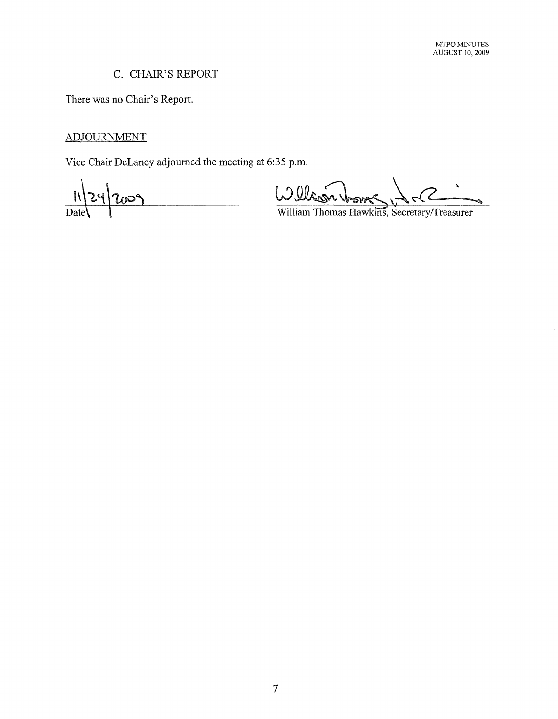# C. CHAIR'S REPORT

There was no Chair's Report.

# ADJOURNMENT

Vice Chair DeLaney adjourned the meeting at 6:35 p.m.

 $\mathbf{u}^{\prime}$ 009  $\overline{$  Dat

William Thomas Hawkins, Secretary/Treasurer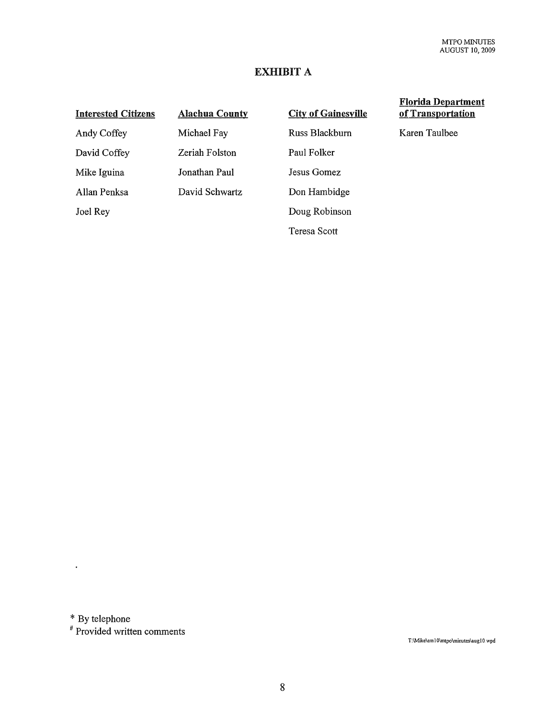# EXHIBIT A

| <b>Interested Citizens</b> | <b>Alachua County</b> | <b>City of Gainesville</b> |
|----------------------------|-----------------------|----------------------------|
| Andy Coffey                | Michael Fay           | Russ Blackburn             |
| David Coffey               | Zeriah Folston        | Paul Folker                |
| Mike Iguina                | Jonathan Paul         | Jesus Gomez                |
| Allan Penksa               | David Schwartz        | Don Hambidge               |
| Joel Rey                   |                       | Doug Robinson              |
|                            |                       | Teresa Scott               |

Florida Departmen! of Transportation

Karen Taulbee

\* By telephone

 $\mathcal{A}$ 

# Provided written comments

T:\Mike\em10\mtpo\minutes\aug10 wpd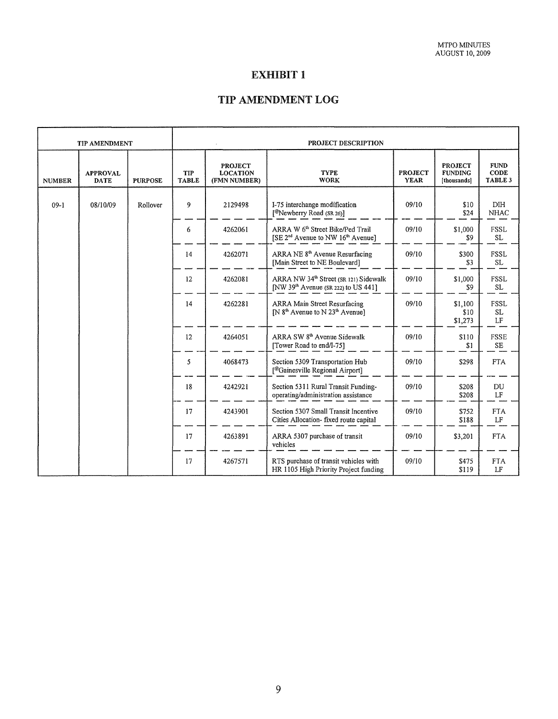# EXHIBIT 1

# TIP AMENDMENT LOG

| <b>TIP AMENDMENT</b> |                                | PROJECT DESCRIPTION |                     |                                                   |                                                                                                           |                               |                                                 |                                |
|----------------------|--------------------------------|---------------------|---------------------|---------------------------------------------------|-----------------------------------------------------------------------------------------------------------|-------------------------------|-------------------------------------------------|--------------------------------|
| <b>NUMBER</b>        | <b>APPROVAL</b><br><b>DATE</b> | <b>PURPOSE</b>      | TIP<br><b>TABLE</b> | <b>PROJECT</b><br><b>LOCATION</b><br>(FMN NUMBER) | <b>TYPE</b><br><b>WORK</b>                                                                                | <b>PROJECT</b><br><b>YEAR</b> | <b>PROJECT</b><br><b>FUNDING</b><br>[thousands] | <b>FUND</b><br>CODE<br>TABLE 3 |
| $09-1$               | 08/10/09                       | Rollover            | 9                   | 2129498                                           | I-75 interchange modification<br>[ <sup>@</sup> Newberry Road (SR 26)]                                    | 09/10                         | \$10<br>\$24                                    | <b>DIH</b><br><b>NHAC</b>      |
|                      |                                |                     | 6                   | 4262061                                           | ARRA W 6 <sup>th</sup> Street Bike/Ped Trail<br>[SE 2 <sup>nd</sup> Avenue to NW 16 <sup>th</sup> Avenue] | 09/10                         | \$1,000<br>\$9                                  | FSSL<br>SL                     |
|                      |                                |                     | 14                  | 4262071                                           | ARRA NE 8 <sup>th</sup> Avenue Resurfacing<br>[Main Street to NE Boulevard]                               | 09/10                         | \$300<br>\$3                                    | FSSL<br>SL                     |
|                      |                                |                     | 12                  | 4262081                                           | ARRA NW 34 <sup>th</sup> Street (SR 121) Sidewalk<br>[NW 39 <sup>th</sup> Avenue (SR 222) to US 441]      | 09/10                         | \$1,000<br>\$9                                  | FSSL<br>SL.                    |
|                      |                                |                     | 14                  | 4262281                                           | ARRA Main Street Resurfacing<br>$[N 8th$ Avenue to N 23 <sup>th</sup> Avenue]                             | 09/10                         | \$1,100<br>\$10<br>\$1,273                      | <b>FSSL</b><br>SL.<br>LF       |
|                      |                                |                     | 12                  | 4264051                                           | ARRA SW 8 <sup>th</sup> Avenue Sidewalk<br>[Tower Road to end/I-75]                                       | 09/10                         | \$110<br>\$1                                    | <b>FSSE</b><br><b>SE</b>       |
|                      |                                |                     | 5                   | 4068473                                           | Section 5309 Transportation Hub<br>[@Gainesville Regional Airport]                                        | 09/10                         | \$298                                           | <b>FTA</b>                     |
|                      |                                |                     | 18                  | 4242921                                           | Section 5311 Rural Transit Funding-<br>operating/administration assistance                                | 09/10                         | \$208<br>\$208                                  | DU<br>LF                       |
|                      |                                |                     | 17                  | 4243901                                           | Section 5307 Small Transit Incentive<br>Cities Allocation- fixed route capital                            | 09/10                         | \$752<br>\$188                                  | <b>FTA</b><br>LF               |
|                      |                                |                     | 17                  | 4263891                                           | ARRA 5307 purchase of transit<br>vehicles                                                                 | 09/10                         | \$3,201                                         | <b>FTA</b>                     |
|                      |                                |                     | 17                  | 4267571                                           | RTS purchase of transit vehicles with<br>HR 1105 High Priority Project funding                            | 09/10                         | \$475<br>\$119                                  | <b>FTA</b><br>LF               |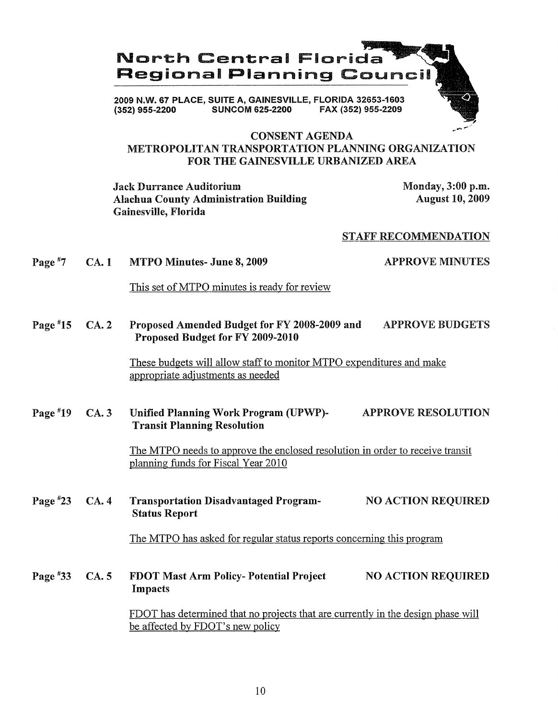# North Central Florida Regional Planning Council

2009 N.W. 67 PLACE, SUITE A, GAINESVILLE, FLORIDA 32653-1603 FAX (352) 955-2209

## CONSENT AGENDA METROPOLITAN TRANSPORTATION PLANNING ORGANIZATION FOR THE GAINESVILLE URBANIZED AREA

Jack Durrance Auditorium Alachua County Administration Building Gainesville, Florida

Monday, 3:00 p.m. August 10, 2009

#### STAFF RECOMMENDATION

Page  $*7$ CA. 1 MTPO Minutes- June 8, 2009 APPROVE MINUTES

This set of MTPO minutes is ready for review

Page #15 CA. 2 Proposed Amended Budget for FY 2008-2009 and APPROVE BUDGETS Proposed Budget for FY 2009-2010

> These budgets will allow staff to monitor MTPO expenditures and make appropriate adjustments as needed

Page #19 CA. 3 Unified Planning Work Program (UPWP)- APPROVE RESOLUTION Transit Planning Resolution

> The MTPO needs to approve the enclosed resolution in order to receive transit planning funds for Fiscal Year 2010

Page #23 CA. 4 Transportation Disadvantaged Program- NO ACTION REQUIRED Status Report

The MTPO has asked for regular status reports concerning this program

Page #33 CA. 5 FDOT Mast Arm Policy- Potential Project Impacts NO ACTION REQUIRED

> FDOT has determined that no projects that are currently in the design phase will be affected by FDOT's new policy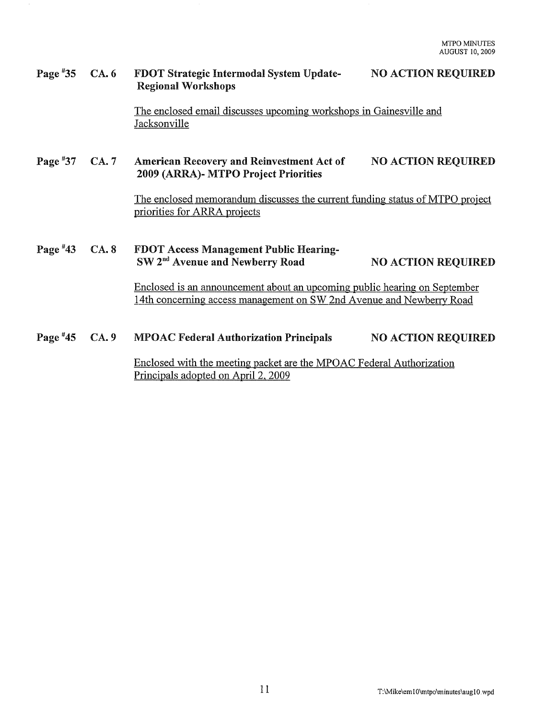#### Page #35 CA. 6 FDOT Strategic Intermodal System Update-Regional Workshops NO ACTION REQUIRED

The enclosed email discusses upcoming workshops in Gainesville and Jacksonville

#### Page #37 CA. 7 American Recovery and Reinvestment Act of 2009 (ARRA)- MTPO Project Priorities NO ACTION REQUIRED

The enclosed memorandum discusses the current funding status ofMTPO project priorities for ARRA projects

#### Page #43 CA. 8 FDOT Access Management Public Hearing-SW 2<sup>nd</sup> Avenue and Newberry Road NO ACTION REQUIRED

Enclosed is an announcement about an upcoming public hearing on September 14th concerning access management on SW 2nd Avenue and Newberry Road

#### Page  $*45$  $CA.9$ MPOAC Federal Authorization Principals NO ACTION REQUIRED Enclosed with the meeting packet are the MPOAC Federal Authorization Principals adopted on April 2, 2009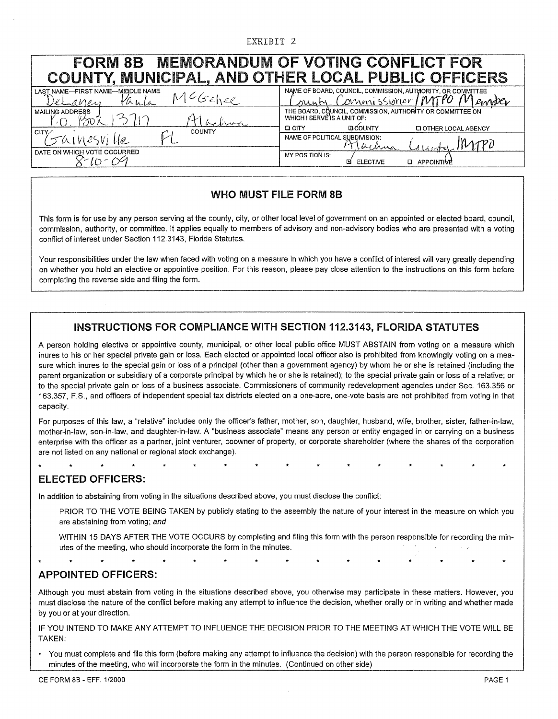#### EXHIBIT 2

| <b>FORM 8B</b><br>COUNTY, MUNICIPAL, AND OTHER LOCAL PUBLIC OFFICERS         | <b>MEMORANDUM OF VOTING CONFLICT FOR</b>                                                                                                              |  |  |  |  |
|------------------------------------------------------------------------------|-------------------------------------------------------------------------------------------------------------------------------------------------------|--|--|--|--|
| LAST NAME-FIRST NAME-MIDDLE NAME<br>1 <sup>6</sup> Gehee<br>Remanen<br>ぐんんしん | NAME OF BOARD, COUNCIL, COMMISSION, AUTHORITY, OR COMMITTEE<br>Commissloner<br>nunty                                                                  |  |  |  |  |
| <b>MAILING ADDRESS</b><br>بالرسادا وسياته<br><b>COUNTY</b><br>CITY∕≏         | THE BOARD, COUNCIL, COMMISSION, AUTHORITY OR COMMITTEE ON<br>WHICH I SERVE'IS A UNIT OF:<br><b>GICOUNTY</b><br><b>D CITY</b><br>LI OTHER LOCAL AGENCY |  |  |  |  |
| $54185$ ville                                                                | NAME OF POLITICAL SUBDIVISION:<br>يعلى برا ھا                                                                                                         |  |  |  |  |
| DATE ON WHICH VOTE OCCURRED                                                  | MY POSITION IS:<br><b>ELECTIVE</b><br><b>APPOINTIVE</b><br>m                                                                                          |  |  |  |  |

#### **WHO MUST FILE FORM 8B**

This form is for use by any person serving at the county, city, or other local level of government on an appointed or elected board, council, commission, authority, or committee. It applies equally to members of advisory and non-advisory bodies who are presented with a voting conflict of interest under Section 112.3143, Florida Statutes.

Your responsibilities under the law when faced with voting on a measure in which you have a conflict of interest will vary greatly depending on whether you hold an elective or appointive position. For this reason, please pay close attention to the instructions on this form before completing the reverse side and filing the form.

#### **INSTRUCTIONS FOR COMPLIANCE WITH SECTION 112.3143, FLORIDA STATUTES**

A person holding elective or appointive county, municipal, or other local public office MUST ABSTAIN from voting on a measure which inures to his or her special private gain or loss. Each elected or appointed local officer also is prohibited from knowingly voting on a measure which inures to the special gain or loss of a principal (other than a government agency) by whom he or she is retained (including the parent organization or subsidiary of a corporate principal by which he or she is retained); to the special private gain or loss of a relative; or to the special private gain or loss of a business associate. Commissioners of community redevelopment agencies under Sec. 163.356 or 163.357, F.S., and officers of independent special tax districts elected on a one-acre, one-vote basis are not prohibited from voting in that capacity.

For purposes of this law, a "relative" includes only the officer's father, mother, son, daughter, husband, wife, brother, sister, father-in-law, mother-in-law, son-in-law, and daughter-in-law. A "business associate" means any person or entity engaged in or carrying on a business enterprise with the officer as a partner, joint venturer, coowner of property, or corporate shareholder (where the shares of the corporation are not listed on any national or regional stock exchange).

# **ELECTED OFFICERS:**

In addition to abstaining from voting in the situations described above, you must disclose the conflict:

PRIOR TO THE VOTE BEING TAKEN by publicly stating to the assembly the nature of your interest in the measure on which you are abstaining from voting; and

WITHIN 15 DAYS AFTER THE VOTE OCCURS by completing and filing this form with the person responsible for recording the minutes of the meeting, who should incorporate the form in the minutes.

# **APPOINTED OFFICERS:**

Although you must abstain from voting in the situations described above, you otherwise may participate in these matters. However, you must disclose the nature of the conflict before making any attempt to influence the decision, whether orally or in writing and whether made by you or at your direction.

IF YOU INTEND TO MAKE ANY ATTEMPT TO INFLUENCE THE DECISION PRIOR TO THE MEETING AT WHICH THE VOTE WILL BE TAKEN:

You must complete and file this form (before making any attempt to influence the decision) with the person responsible for recording the minutes of the meeting, who will incorporate the form in the minutes. (Continued on other side)